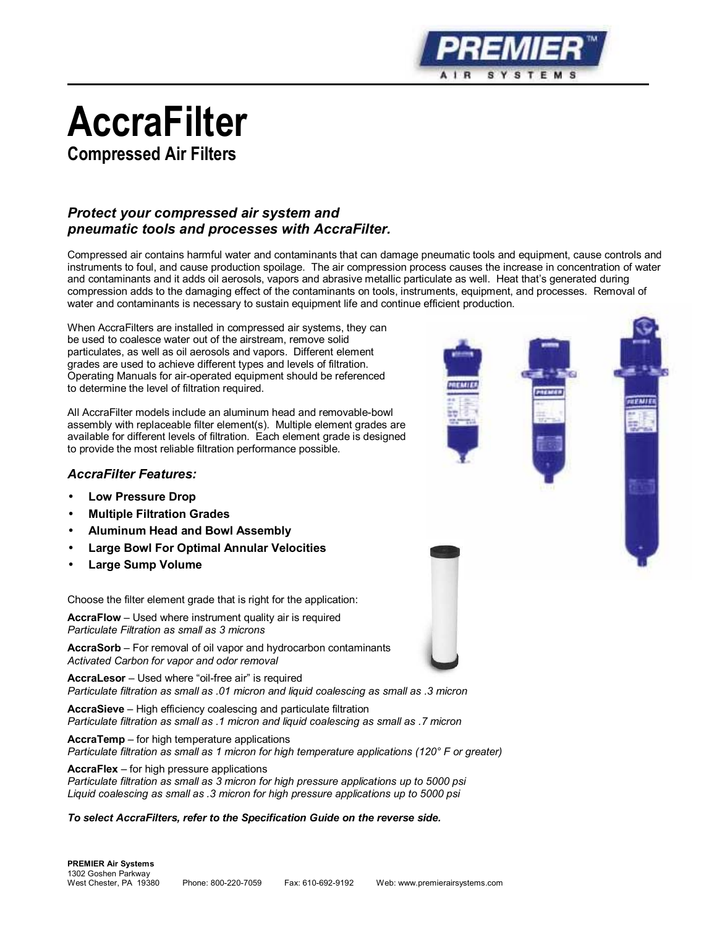

# **AccraFilter**

**Compressed Air Filters**

# *Protect your compressed air system and pneumatic tools and processes with AccraFilter.*

Compressed air contains harmful water and contaminants that can damage pneumatic tools and equipment, cause controls and instruments to foul, and cause production spoilage. The air compression process causes the increase in concentration of water and contaminants and it adds oil aerosols, vapors and abrasive metallic particulate as well. Heat that's generated during compression adds to the damaging effect of the contaminants on tools, instruments, equipment, and processes. Removal of water and contaminants is necessary to sustain equipment life and continue efficient production.

When AccraFilters are installed in compressed air systems, they can be used to coalesce water out of the airstream, remove solid particulates, as well as oil aerosols and vapors. Different element grades are used to achieve different types and levels of filtration. Operating Manuals for air-operated equipment should be referenced to determine the level of filtration required.

All AccraFilter models include an aluminum head and removable-bowl assembly with replaceable filter element(s). Multiple element grades are available for different levels of filtration. Each element grade is designed to provide the most reliable filtration performance possible.

#### *AccraFilter Features:*

- **Low Pressure Drop**
- **Multiple Filtration Grades**
- **Aluminum Head and Bowl Assembly**
- **Large Bowl For Optimal Annular Velocities**
- **Large Sump Volume**

Choose the filter element grade that is right for the application:

**AccraFlow** – Used where instrument quality air is required *Particulate Filtration as small as 3 microns*

**AccraSorb** – For removal of oil vapor and hydrocarbon contaminants *Activated Carbon for vapor and odor removal*

**AccraLesor** – Used where "oil-free air" is required *Particulate filtration as small as .01 micron and liquid coalescing as small as .3 micron*

**AccraSieve** – High efficiency coalescing and particulate filtration *Particulate filtration as small as .1 micron and liquid coalescing as small as .7 micron*

**AccraTemp** – for high temperature applications *Particulate filtration as small as 1 micron for high temperature applications (120° F or greater)*

**AccraFlex** – for high pressure applications *Particulate filtration as small as 3 micron for high pressure applications up to 5000 psi Liquid coalescing as small as .3 micron for high pressure applications up to 5000 psi*

*To select AccraFilters, refer to the Specification Guide on the reverse side.*



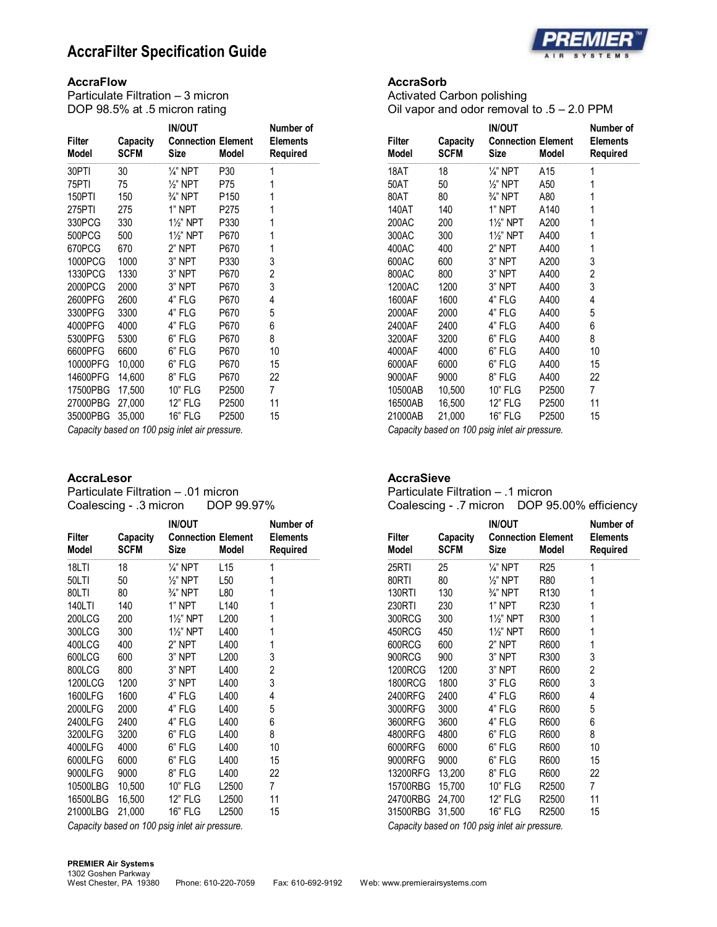# **AccraFilter Specification Guide**



#### **AccraFlow**

Particulate Filtration – 3 micron DOP 98.5% at .5 micron rating

| <b>Filter</b><br>Model | Capacity<br><b>SCFM</b> | <b>IN/OUT</b><br><b>Connection Element</b><br>Size | Model            | Number of<br><b>Elements</b><br>Required |
|------------------------|-------------------------|----------------------------------------------------|------------------|------------------------------------------|
| 30PTI                  | 30                      | $\frac{1}{4}$ " NPT                                | P30              | 1                                        |
| 75PTI                  | 75                      | $\frac{1}{2}$ " NPT                                | P75              | 1                                        |
| 150PTI                 | 150                     | $\frac{3}{4}$ " NPT                                | P <sub>150</sub> | 1                                        |
| 275PTI                 | 275                     | 1" NPT                                             | P275             | 1                                        |
| 330PCG                 | 330                     | 1%" NPT                                            | P330             | 1                                        |
| 500PCG                 | 500                     | 11/ <sub>2</sub> " NPT                             | P670             | 1                                        |
| 670PCG                 | 670                     | 2" NPT                                             | P670             | 1                                        |
| 1000PCG                | 1000                    | 3" NPT                                             | P330             | 3                                        |
| 1330PCG                | 1330                    | 3" NPT                                             | P670             | 2                                        |
| 2000PCG                | 2000                    | 3" NPT                                             | P670             | 3                                        |
| 2600PFG                | 2600                    | 4" FLG                                             | P670             | 4                                        |
| 3300PFG                | 3300                    | 4" FLG                                             | P670             | 5                                        |
| 4000PFG                | 4000                    | 4" FLG                                             | P670             | 6                                        |
| 5300PFG                | 5300                    | 6" FLG                                             | P670             | 8                                        |
| 6600PFG                | 6600                    | 6" FLG                                             | P670             | 10                                       |
| 10000PFG               | 10,000                  | 6" FLG                                             | P670             | 15                                       |
| 14600PFG               | 14,600                  | 8" FLG                                             | P670             | 22                                       |
| 17500PBG               | 17,500                  | <b>10" FLG</b>                                     | P2500            | 7                                        |
| 27000PBG               | 27,000                  | 12" FLG                                            | P2500            | 11                                       |
| 35000PBG               | 35,000                  | 16" FLG                                            | P2500            | 15                                       |

*Capacity based on 100 psig inlet air pressure.*

#### **AccraLesor**

Particulate Filtration – .01 micron Coalescing - .3 micron DOP 99.97%

| Filter<br>Model | Capacity<br><b>SCFM</b> | <b>IN/OUT</b><br><b>Connection Element</b><br>Size | Model           | Number of<br><b>Elements</b><br>Required |
|-----------------|-------------------------|----------------------------------------------------|-----------------|------------------------------------------|
| 18LTI           | 18                      | $\frac{1}{4}$ " NPT                                | L <sub>15</sub> | 1                                        |
| 50LTI           | 50                      | $\frac{1}{2}$ " NPT                                | L50             | 1                                        |
| 80LTI           | 80                      | $\frac{3}{4}$ " NPT                                | L80             | 1                                        |
| 140LTI          | 140                     | 1" NPT                                             | L140            | 1                                        |
| 200LCG          | 200                     | 1½" NPT                                            | L200            | 1                                        |
| 300LCG          | 300                     | 1%" NPT                                            | L400            | 1                                        |
| 400LCG          | 400                     | 2" NPT                                             | L400            | 1                                        |
| 600LCG          | 600                     | 3" NPT                                             | L200            | 3                                        |
| 800LCG          | 800                     | 3" NPT                                             | L400            | 2                                        |
| 1200LCG         | 1200                    | 3" NPT                                             | L400            | 3                                        |
| 1600LFG         | 1600                    | 4" FLG                                             | L400            | 4                                        |
| 2000LFG         | 2000                    | 4" FLG                                             | L400            | 5                                        |
| 2400LFG         | 2400                    | 4" FLG                                             | L400            | 6                                        |
| 3200LFG         | 3200                    | 6" FLG                                             | L400            | 8                                        |
| 4000LFG         | 4000                    | 6" FLG                                             | L400            | 10                                       |
| 6000LFG         | 6000                    | 6" FLG                                             | L400            | 15                                       |
| 9000LFG         | 9000                    | 8" FLG                                             | L400            | 22                                       |
| 10500LBG        | 10,500                  | 10" FLG                                            | L2500           | 7                                        |
| 16500LBG        | 16,500                  | 12" FLG                                            | L2500           | 11                                       |
| 21000LBG        | 21,000                  | 16" FLG                                            | L2500           | 15                                       |

*Capacity based on 100 psig inlet air pressure.*

#### **AccraSorb**

Activated Carbon polishing Oil vapor and odor removal to .5 – 2.0 PPM

| Filter<br>Model | Capacity<br><b>SCFM</b> | <b>IN/OUT</b><br><b>Connection Element</b><br>Size | <b>Model</b> | Number of<br><b>Elements</b><br>Required |
|-----------------|-------------------------|----------------------------------------------------|--------------|------------------------------------------|
| 18AT            | 18                      | $\frac{1}{4}$ " NPT                                | A15          | 1                                        |
| 50AT            | 50                      | $\frac{1}{2}$ " NPT                                | A50          | 1                                        |
| 80AT            | 80                      | $\frac{3}{4}$ " NPT                                | A80          | 1                                        |
| 140AT           | 140                     | 1" NPT                                             | A140         | 1                                        |
| 200AC           | 200                     | 1%" NPT                                            | A200         | 1                                        |
| 300AC           | 300                     | $1\frac{1}{2}$ " NPT                               | A400         | 1                                        |
| 400AC           | 400                     | 2" NPT                                             | A400         | 1                                        |
| 600AC           | 600                     | 3" NPT                                             | A200         | 3                                        |
| 800AC           | 800                     | 3" NPT                                             | A400         | 2                                        |
| 1200AC          | 1200                    | 3" NPT                                             | A400         | 3                                        |
| 1600AF          | 1600                    | 4" FLG                                             | A400         | 4                                        |
| 2000AF          | 2000                    | 4" FLG                                             | A400         | 5                                        |
| 2400AF          | 2400                    | 4" FLG                                             | A400         | 6                                        |
| 3200AF          | 3200                    | 6" FLG                                             | A400         | 8                                        |
| 4000AF          | 4000                    | 6" FLG                                             | A400         | 10                                       |
| 6000AF          | 6000                    | 6" FLG                                             | A400         | 15                                       |
| 9000AF          | 9000                    | 8" FLG                                             | A400         | 22                                       |
| 10500AB         | 10,500                  | 10" FLG                                            | P2500        | 7                                        |
| 16500AB         | 16,500                  | 12" FLG                                            | P2500        | 11                                       |
| 21000AB         | 21,000                  | 16" FLG                                            | P2500        | 15                                       |
|                 | $\sqrt{1}$              |                                                    |              |                                          |

*Capacity based on 100 psig inlet air pressure.*

#### **AccraSieve**

Particulate Filtration – .1 micron Coalescing - .7 micron DOP 95.00% efficiency

| Filter<br><b>Model</b> | Capacity<br><b>SCFM</b>      | <b>IN/OUT</b><br><b>Connection Element</b><br>Size | <b>Model</b>      | Number of<br><b>Elements</b><br>Required |
|------------------------|------------------------------|----------------------------------------------------|-------------------|------------------------------------------|
| 25RTI                  | 25                           | $\frac{1}{4}$ " NPT                                | R <sub>25</sub>   | 1                                        |
| 80RTI                  | 80                           | $\frac{1}{2}$ " NPT                                | R80               | 1                                        |
| <b>130RTI</b>          | 130                          | $\frac{3}{4}$ " NPT                                | R <sub>130</sub>  | 1                                        |
| 230RTI                 | 230                          | 1" NPT                                             | R <sub>230</sub>  | 1                                        |
| 300RCG                 | 300                          | $1\frac{1}{2}$ " NPT                               | R300              | 1                                        |
| 450RCG                 | 450                          | 1½" NPT                                            | R600              | 1                                        |
| 600RCG                 | 600                          | 2" NPT                                             | R600              | 1                                        |
| 900RCG                 | 900                          | 3" NPT                                             | R300              | 3                                        |
| <b>1200RCG</b>         | 1200                         | 3" NPT                                             | R600              | 2                                        |
| <b>1800RCG</b>         | 1800                         | 3" FLG                                             | R600              | 3                                        |
| 2400RFG                | 2400                         | 4" FLG                                             | R600              | 4                                        |
| 3000RFG                | 3000                         | 4" FLG                                             | R600              | 5                                        |
| 3600RFG                | 3600                         | 4" FLG                                             | R600              | 6                                        |
| 4800RFG                | 4800                         | 6" FLG                                             | R600              | 8                                        |
| 6000RFG                | 6000                         | 6" FLG                                             | R600              | 10                                       |
| 9000RFG                | 9000                         | 6" FLG                                             | R600              | 15                                       |
| 13200RFG               | 13,200                       | 8" FLG                                             | R600              | 22                                       |
| 15700RBG               | 15,700                       | 10" FLG                                            | R <sub>2500</sub> | 7                                        |
| 24700RBG               | 24,700                       | <b>12" FLG</b>                                     | R <sub>2500</sub> | 11                                       |
| 31500RBG               | 31,500<br>0 '1 '1 100 ' '11' | <b>16" FLG</b>                                     | R <sub>2500</sub> | 15                                       |

*Capacity based on 100 psig inlet air pressure.*